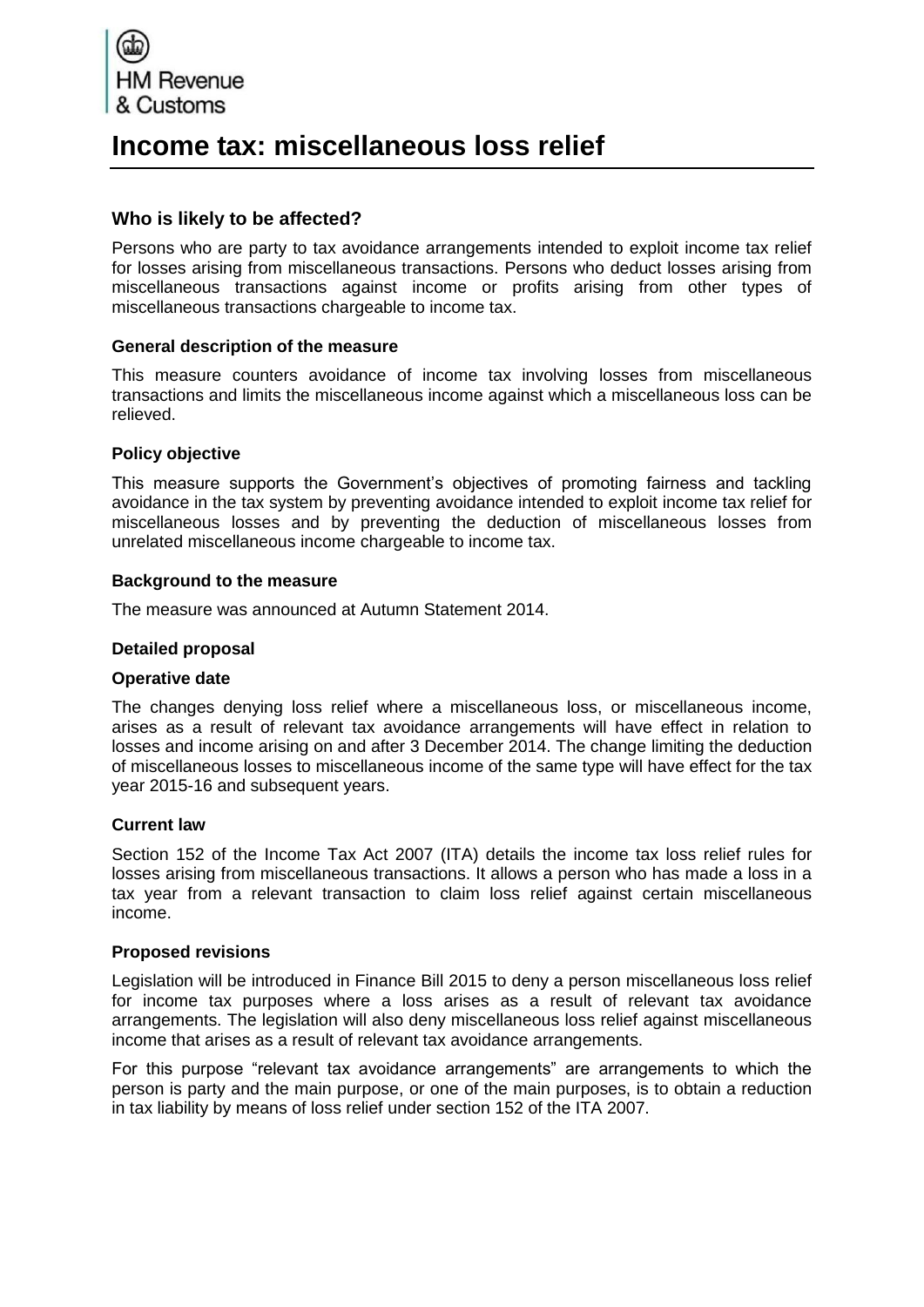

# **Income tax: miscellaneous loss relief**

## **Who is likely to be affected?**

Persons who are party to tax avoidance arrangements intended to exploit income tax relief for losses arising from miscellaneous transactions. Persons who deduct losses arising from miscellaneous transactions against income or profits arising from other types of miscellaneous transactions chargeable to income tax.

## **General description of the measure**

This measure counters avoidance of income tax involving losses from miscellaneous transactions and limits the miscellaneous income against which a miscellaneous loss can be relieved.

## **Policy objective**

This measure supports the Government's objectives of promoting fairness and tackling avoidance in the tax system by preventing avoidance intended to exploit income tax relief for miscellaneous losses and by preventing the deduction of miscellaneous losses from unrelated miscellaneous income chargeable to income tax.

## **Background to the measure**

The measure was announced at Autumn Statement 2014.

#### **Detailed proposal**

#### **Operative date**

The changes denying loss relief where a miscellaneous loss, or miscellaneous income, arises as a result of relevant tax avoidance arrangements will have effect in relation to losses and income arising on and after 3 December 2014. The change limiting the deduction of miscellaneous losses to miscellaneous income of the same type will have effect for the tax year 2015-16 and subsequent years.

#### **Current law**

Section 152 of the Income Tax Act 2007 (ITA) details the income tax loss relief rules for losses arising from miscellaneous transactions. It allows a person who has made a loss in a tax year from a relevant transaction to claim loss relief against certain miscellaneous income.

#### **Proposed revisions**

Legislation will be introduced in Finance Bill 2015 to deny a person miscellaneous loss relief for income tax purposes where a loss arises as a result of relevant tax avoidance arrangements. The legislation will also deny miscellaneous loss relief against miscellaneous income that arises as a result of relevant tax avoidance arrangements.

For this purpose "relevant tax avoidance arrangements" are arrangements to which the person is party and the main purpose, or one of the main purposes, is to obtain a reduction in tax liability by means of loss relief under section 152 of the ITA 2007.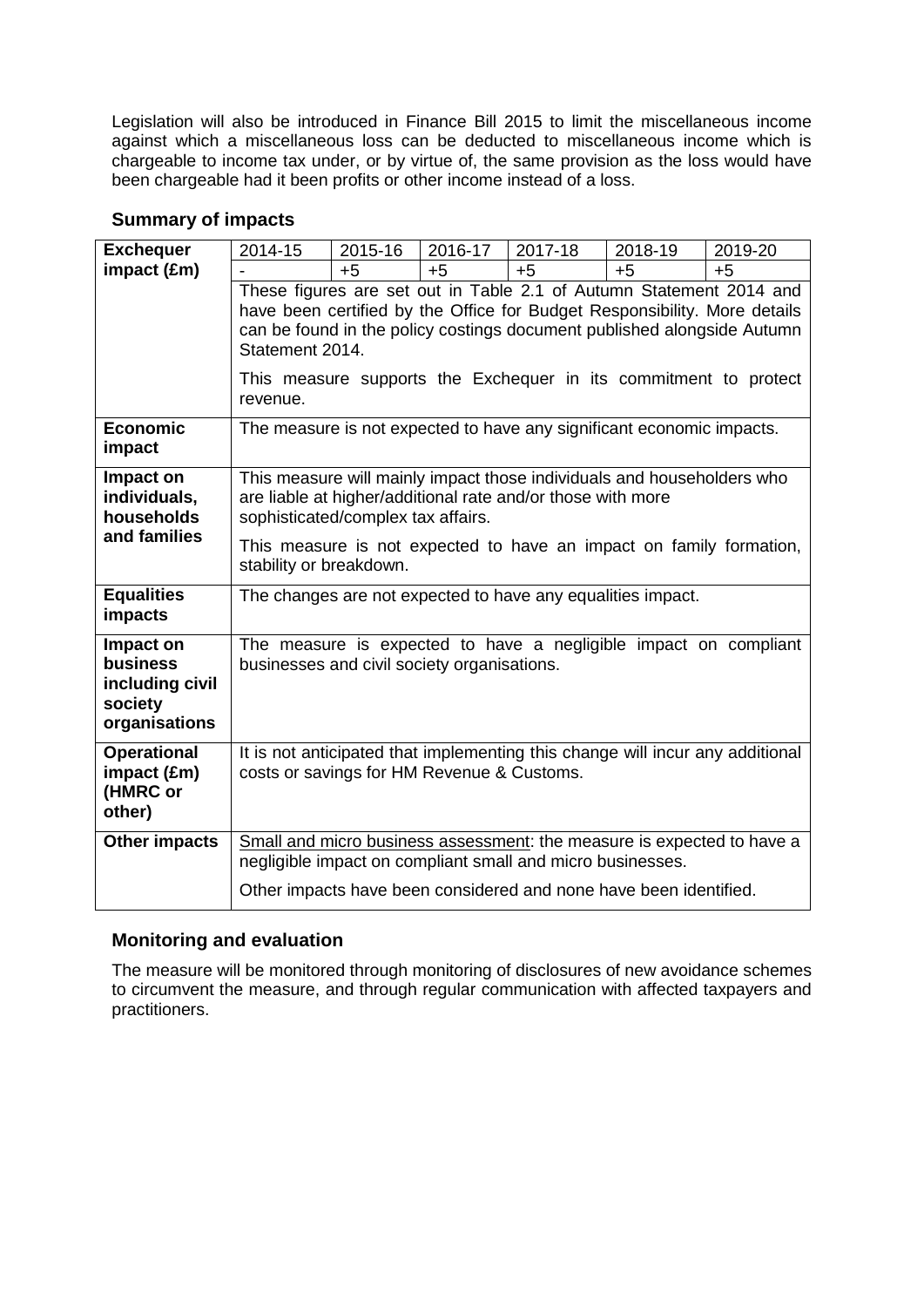Legislation will also be introduced in Finance Bill 2015 to limit the miscellaneous income against which a miscellaneous loss can be deducted to miscellaneous income which is chargeable to income tax under, or by virtue of, the same provision as the loss would have been chargeable had it been profits or other income instead of a loss.

# **Summary of impacts**

| <b>Exchequer</b>                                                            | 2014-15                                                                                                                                                                                                                                                                                                                        | 2015-16 | 2016-17 | 2017-18 | 2018-19 | 2019-20 |
|-----------------------------------------------------------------------------|--------------------------------------------------------------------------------------------------------------------------------------------------------------------------------------------------------------------------------------------------------------------------------------------------------------------------------|---------|---------|---------|---------|---------|
| impact (£m)                                                                 |                                                                                                                                                                                                                                                                                                                                | $+5$    | $+5$    | $+5$    | $+5$    | $+5$    |
|                                                                             | These figures are set out in Table 2.1 of Autumn Statement 2014 and<br>have been certified by the Office for Budget Responsibility. More details<br>can be found in the policy costings document published alongside Autumn<br>Statement 2014.<br>This measure supports the Exchequer in its commitment to protect<br>revenue. |         |         |         |         |         |
| <b>Economic</b><br>impact                                                   | The measure is not expected to have any significant economic impacts.                                                                                                                                                                                                                                                          |         |         |         |         |         |
| Impact on<br>individuals,<br>households                                     | This measure will mainly impact those individuals and householders who<br>are liable at higher/additional rate and/or those with more<br>sophisticated/complex tax affairs.                                                                                                                                                    |         |         |         |         |         |
| and families                                                                | This measure is not expected to have an impact on family formation,<br>stability or breakdown.                                                                                                                                                                                                                                 |         |         |         |         |         |
| <b>Equalities</b><br>impacts                                                | The changes are not expected to have any equalities impact.                                                                                                                                                                                                                                                                    |         |         |         |         |         |
| Impact on<br><b>business</b><br>including civil<br>society<br>organisations | The measure is expected to have a negligible impact on compliant<br>businesses and civil society organisations.                                                                                                                                                                                                                |         |         |         |         |         |
| <b>Operational</b><br>impact (£m)<br>(HMRC or<br>other)                     | It is not anticipated that implementing this change will incur any additional<br>costs or savings for HM Revenue & Customs.                                                                                                                                                                                                    |         |         |         |         |         |
| <b>Other impacts</b>                                                        | Small and micro business assessment: the measure is expected to have a<br>negligible impact on compliant small and micro businesses.<br>Other impacts have been considered and none have been identified.                                                                                                                      |         |         |         |         |         |
|                                                                             |                                                                                                                                                                                                                                                                                                                                |         |         |         |         |         |

# **Monitoring and evaluation**

The measure will be monitored through monitoring of disclosures of new avoidance schemes to circumvent the measure, and through regular communication with affected taxpayers and practitioners.